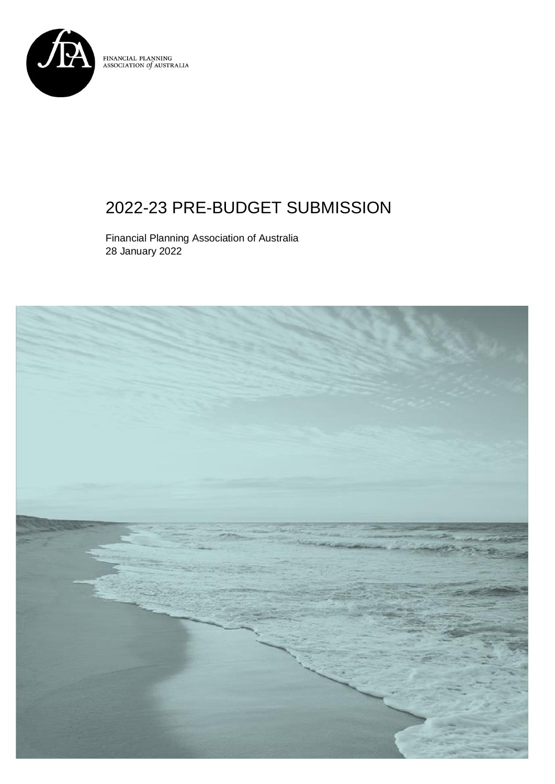

 $\begin{array}{ll} \textbf{FINANCIAL PLANNING} \\ \textbf{ASSOCIATION of AUSTRALIA} \end{array}$ 

## 2022-23 PRE-BUDGET SUBMISSION

Financial Planning Association of Australia 28 January 2022

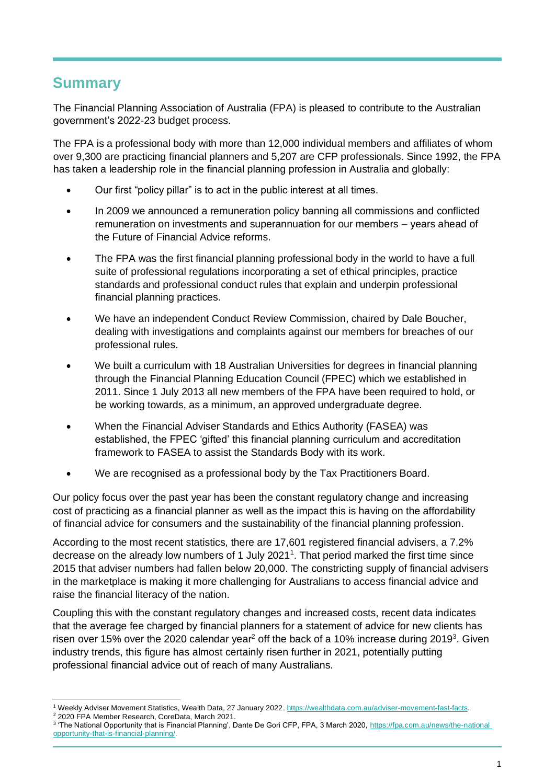## **Summary**

The Financial Planning Association of Australia (FPA) is pleased to contribute to the Australian government's 2022-23 budget process.

The FPA is a professional body with more than 12,000 individual members and affiliates of whom over 9,300 are practicing financial planners and 5,207 are CFP professionals. Since 1992, the FPA has taken a leadership role in the financial planning profession in Australia and globally:

- Our first "policy pillar" is to act in the public interest at all times.
- In 2009 we announced a remuneration policy banning all commissions and conflicted remuneration on investments and superannuation for our members – years ahead of the Future of Financial Advice reforms.
- The FPA was the first financial planning professional body in the world to have a full suite of professional regulations incorporating a set of ethical principles, practice standards and professional conduct rules that explain and underpin professional financial planning practices.
- We have an independent Conduct Review Commission, chaired by Dale Boucher, dealing with investigations and complaints against our members for breaches of our professional rules.
- We built a curriculum with 18 Australian Universities for degrees in financial planning through the Financial Planning Education Council (FPEC) which we established in 2011. Since 1 July 2013 all new members of the FPA have been required to hold, or be working towards, as a minimum, an approved undergraduate degree.
- When the Financial Adviser Standards and Ethics Authority (FASEA) was established, the FPEC 'gifted' this financial planning curriculum and accreditation framework to FASEA to assist the Standards Body with its work.
- We are recognised as a professional body by the Tax Practitioners Board.

Our policy focus over the past year has been the constant regulatory change and increasing cost of practicing as a financial planner as well as the impact this is having on the affordability of financial advice for consumers and the sustainability of the financial planning profession.

According to the most recent statistics, there are 17,601 registered financial advisers, a 7.2% decrease on the already low numbers of 1 July 2021<sup>1</sup>. That period marked the first time since 2015 that adviser numbers had fallen below 20,000. The constricting supply of financial advisers in the marketplace is making it more challenging for Australians to access financial advice and raise the financial literacy of the nation.

Coupling this with the constant regulatory changes and increased costs, recent data indicates that the average fee charged by financial planners for a statement of advice for new clients has risen over 15% over the 2020 calendar year<sup>2</sup> off the back of a 10% increase during 2019<sup>3</sup>. Given industry trends, this figure has almost certainly risen further in 2021, potentially putting professional financial advice out of reach of many Australians.

<sup>1</sup> Weekly Adviser Movement Statistics, Wealth Data, 27 January 2022, [https://wealthdata.com.au/adviser-movement-fast-facts.](https://wealthdata.com.au/adviser-movement-fast-facts) 

<sup>2</sup> 2020 FPA Member Research, CoreData, March 2021.

<sup>&</sup>lt;sup>3</sup> 'The National Opportunity that is Financial Planning', Dante De Gori CFP, FPA, 3 March 2020, <u>https://fpa.com.au/news/the-national</u> [opportunity-that-is-financial-planning/.](https://fpa.com.au/news/the-national%20opportunity-that-is-financial-planning/#:~:text=On%20average%2C%20FPA%20members%20charge,cent%20from%20%242435%20in%202018)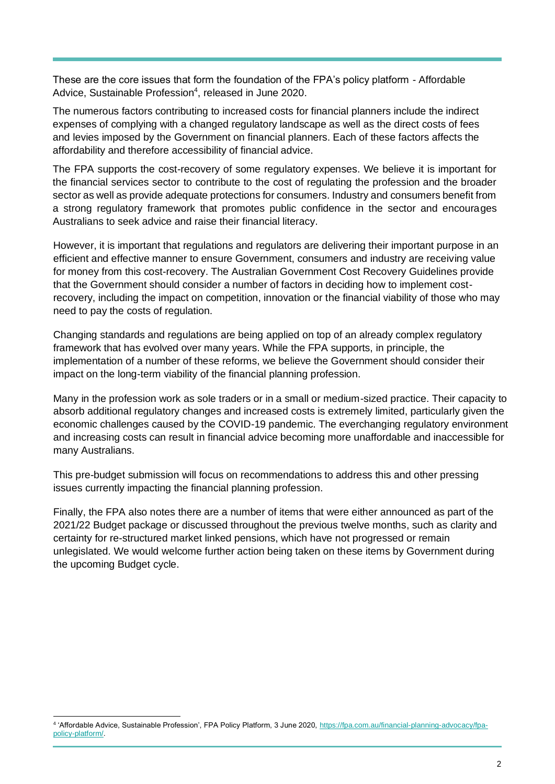These are the core issues that form the foundation of the FPA's policy platform - Affordable Advice, Sustainable Profession<sup>4</sup>, released in June 2020.

The numerous factors contributing to increased costs for financial planners include the indirect expenses of complying with a changed regulatory landscape as well as the direct costs of fees and levies imposed by the Government on financial planners. Each of these factors affects the affordability and therefore accessibility of financial advice.

The FPA supports the cost-recovery of some regulatory expenses. We believe it is important for the financial services sector to contribute to the cost of regulating the profession and the broader sector as well as provide adequate protections for consumers. Industry and consumers benefit from a strong regulatory framework that promotes public confidence in the sector and encourages Australians to seek advice and raise their financial literacy.

However, it is important that regulations and regulators are delivering their important purpose in an efficient and effective manner to ensure Government, consumers and industry are receiving value for money from this cost-recovery. The Australian Government Cost Recovery Guidelines provide that the Government should consider a number of factors in deciding how to implement costrecovery, including the impact on competition, innovation or the financial viability of those who may need to pay the costs of regulation.

Changing standards and regulations are being applied on top of an already complex regulatory framework that has evolved over many years. While the FPA supports, in principle, the implementation of a number of these reforms, we believe the Government should consider their impact on the long-term viability of the financial planning profession.

Many in the profession work as sole traders or in a small or medium-sized practice. Their capacity to absorb additional regulatory changes and increased costs is extremely limited, particularly given the economic challenges caused by the COVID-19 pandemic. The everchanging regulatory environment and increasing costs can result in financial advice becoming more unaffordable and inaccessible for many Australians.

This pre-budget submission will focus on recommendations to address this and other pressing issues currently impacting the financial planning profession.

Finally, the FPA also notes there are a number of items that were either announced as part of the 2021/22 Budget package or discussed throughout the previous twelve months, such as clarity and certainty for re-structured market linked pensions, which have not progressed or remain unlegislated. We would welcome further action being taken on these items by Government during the upcoming Budget cycle.

<sup>&</sup>lt;sup>4</sup> 'Affordable Advice, Sustainable Profession', FPA Policy Platform, 3 June 2020, [https://fpa.com.au/financial-planning-advocacy/fpa](https://fpa.com.au/financial-planning-advocacy/fpa-policy-platform/)[policy-platform/.](https://fpa.com.au/financial-planning-advocacy/fpa-policy-platform/)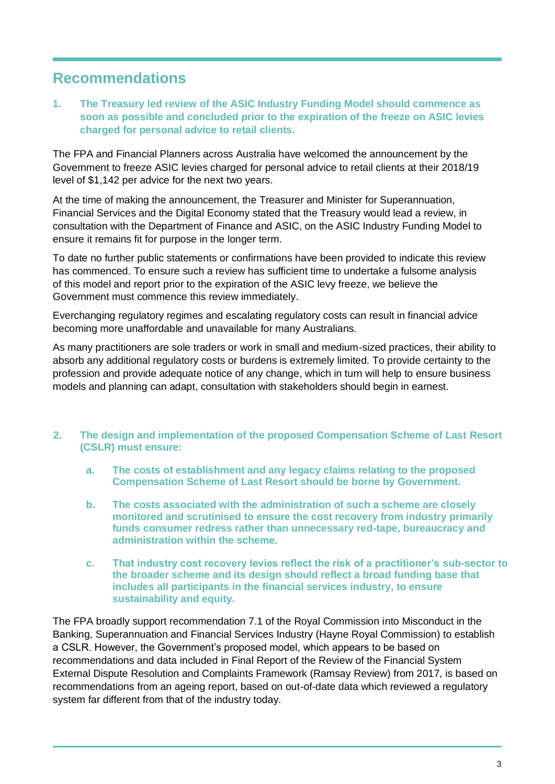## **Recommendations**

**1. The Treasury led review of the ASIC Industry Funding Model should commence as soon as possible and concluded prior to the expiration of the freeze on ASIC levies charged for personal advice to retail clients.**

The FPA and Financial Planners across Australia have welcomed the announcement by the Government to freeze ASIC levies charged for personal advice to retail clients at their 2018/19 level of \$1,142 per advice for the next two years.

At the time of making the announcement, the Treasurer and Minister for Superannuation, Financial Services and the Digital Economy stated that the Treasury would lead a review, in consultation with the Department of Finance and ASIC, on the ASIC Industry Funding Model to ensure it remains fit for purpose in the longer term.

To date no further public statements or confirmations have been provided to indicate this review has commenced. To ensure such a review has sufficient time to undertake a fulsome analysis of this model and report prior to the expiration of the ASIC levy freeze, we believe the Government must commence this review immediately.

Everchanging regulatory regimes and escalating regulatory costs can result in financial advice becoming more unaffordable and unavailable for many Australians.

As many practitioners are sole traders or work in small and medium-sized practices, their ability to absorb any additional regulatory costs or burdens is extremely limited. To provide certainty to the profession and provide adequate notice of any change, which in turn will help to ensure business models and planning can adapt, consultation with stakeholders should begin in earnest.

- **2. The design and implementation of the proposed Compensation Scheme of Last Resort (CSLR) must ensure:**
	- **a. The costs of establishment and any legacy claims relating to the proposed Compensation Scheme of Last Resort should be borne by Government.**
	- **b. The costs associated with the administration of such a scheme are closely monitored and scrutinised to ensure the cost recovery from industry primarily funds consumer redress rather than unnecessary red-tape, bureaucracy and administration within the scheme.**
	- **c. That industry cost recovery levies reflect the risk of a practitioner's sub-sector to the broader scheme and its design should reflect a broad funding base that includes all participants in the financial services industry, to ensure sustainability and equity.**

The FPA broadly support recommendation 7.1 of the Royal Commission into Misconduct in the Banking, Superannuation and Financial Services Industry (Hayne Royal Commission) to establish a CSLR. However, the Government's proposed model, which appears to be based on recommendations and data included in Final Report of the Review of the Financial System External Dispute Resolution and Complaints Framework (Ramsay Review) from 2017, is based on recommendations from an ageing report, based on out-of-date data which reviewed a regulatory system far different from that of the industry today.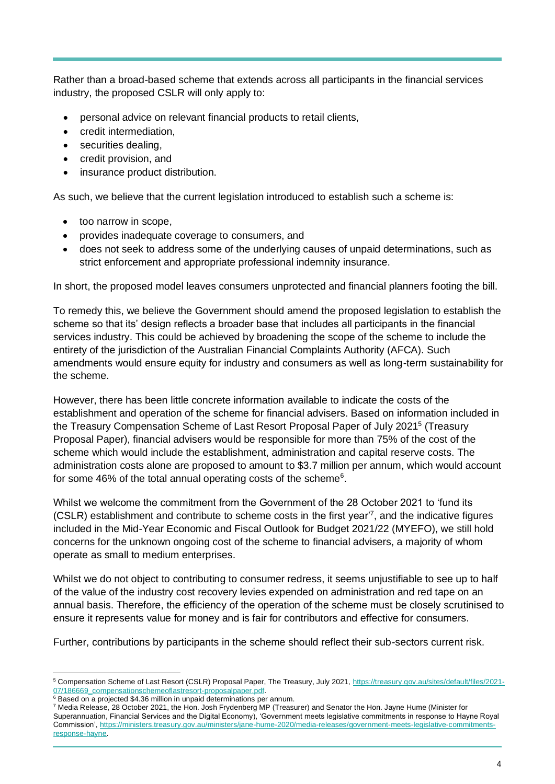Rather than a broad-based scheme that extends across all participants in the financial services industry, the proposed CSLR will only apply to:

- personal advice on relevant financial products to retail clients,
- credit intermediation,
- securities dealing,
- credit provision, and
- insurance product distribution.

As such, we believe that the current legislation introduced to establish such a scheme is:

- too narrow in scope,
- provides inadequate coverage to consumers, and
- does not seek to address some of the underlying causes of unpaid determinations, such as strict enforcement and appropriate professional indemnity insurance.

In short, the proposed model leaves consumers unprotected and financial planners footing the bill.

To remedy this, we believe the Government should amend the proposed legislation to establish the scheme so that its' design reflects a broader base that includes all participants in the financial services industry. This could be achieved by broadening the scope of the scheme to include the entirety of the jurisdiction of the Australian Financial Complaints Authority (AFCA). Such amendments would ensure equity for industry and consumers as well as long-term sustainability for the scheme.

However, there has been little concrete information available to indicate the costs of the establishment and operation of the scheme for financial advisers. Based on information included in the Treasury Compensation Scheme of Last Resort Proposal Paper of July 2021<sup>5</sup> (Treasury Proposal Paper), financial advisers would be responsible for more than 75% of the cost of the scheme which would include the establishment, administration and capital reserve costs. The administration costs alone are proposed to amount to \$3.7 million per annum, which would account for some 46% of the total annual operating costs of the scheme<sup>6</sup>.

Whilst we welcome the commitment from the Government of the 28 October 2021 to 'fund its (CSLR) establishment and contribute to scheme costs in the first year'<sup>7</sup> , and the indicative figures included in the Mid-Year Economic and Fiscal Outlook for Budget 2021/22 (MYEFO), we still hold concerns for the unknown ongoing cost of the scheme to financial advisers, a majority of whom operate as small to medium enterprises.

Whilst we do not object to contributing to consumer redress, it seems unjustifiable to see up to half of the value of the industry cost recovery levies expended on administration and red tape on an annual basis. Therefore, the efficiency of the operation of the scheme must be closely scrutinised to ensure it represents value for money and is fair for contributors and effective for consumers.

Further, contributions by participants in the scheme should reflect their sub-sectors current risk.

<sup>5</sup> Compensation Scheme of Last Resort (CSLR) Proposal Paper, The Treasury, July 2021[, https://treasury.gov.au/sites/default/files/2021-](https://treasury.gov.au/sites/default/files/2021-07/186669_compensationschemeoflastresort-proposalpaper.pdf) 07/186669\_compensationschemeoflastresort-proposalpaper.pdf.

<sup>6</sup> Based on a projected \$4.36 million in unpaid determinations per annum.

<sup>7</sup> Media Release, 28 October 2021, the Hon. Josh Frydenberg MP (Treasurer) and Senator the Hon. Jayne Hume (Minister for Superannuation, Financial Services and the Digital Economy), 'Government meets legislative commitments in response to Hayne Royal Commission', [https://ministers.treasury.gov.au/ministers/jane-hume-2020/media-releases/government-meets-legislative-commitments](https://ministers.treasury.gov.au/ministers/jane-hume-2020/media-releases/government-meets-legislative-commitments-response-hayne)[response-hayne.](https://ministers.treasury.gov.au/ministers/jane-hume-2020/media-releases/government-meets-legislative-commitments-response-hayne)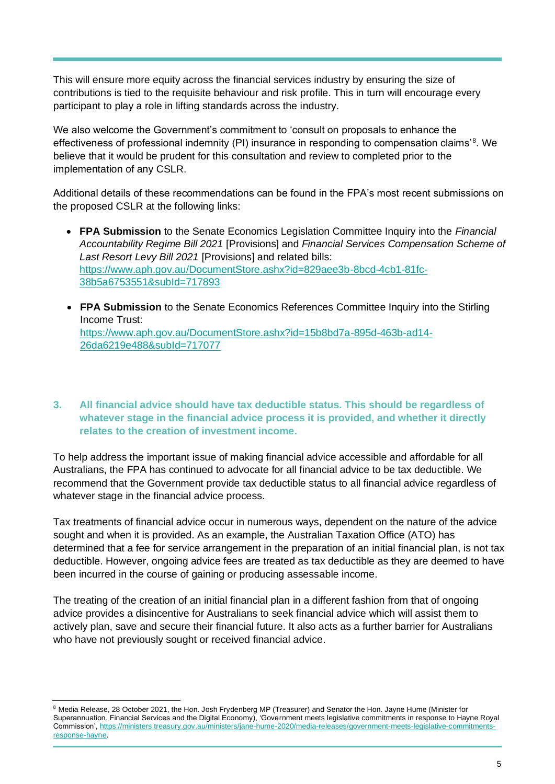This will ensure more equity across the financial services industry by ensuring the size of contributions is tied to the requisite behaviour and risk profile. This in turn will encourage every participant to play a role in lifting standards across the industry.

We also welcome the Government's commitment to 'consult on proposals to enhance the effectiveness of professional indemnity (PI) insurance in responding to compensation claims'<sup>8</sup>. We believe that it would be prudent for this consultation and review to completed prior to the implementation of any CSLR.

Additional details of these recommendations can be found in the FPA's most recent submissions on the proposed CSLR at the following links:

- **FPA Submission** to the Senate Economics Legislation Committee Inquiry into the *Financial Accountability Regime Bill 2021* [Provisions] and *Financial Services Compensation Scheme of Last Resort Levy Bill 2021* [Provisions] and related bills: [https://www.aph.gov.au/DocumentStore.ashx?id=829aee3b-8bcd-4cb1-81fc-](https://www.aph.gov.au/DocumentStore.ashx?id=829aee3b-8bcd-4cb1-81fc-38b5a6753551&subId=717893)[38b5a6753551&subId=717893](https://www.aph.gov.au/DocumentStore.ashx?id=829aee3b-8bcd-4cb1-81fc-38b5a6753551&subId=717893)
- **FPA Submission** to the Senate Economics References Committee Inquiry into the Stirling Income Trust: [https://www.aph.gov.au/DocumentStore.ashx?id=15b8bd7a-895d-463b-ad14-](https://www.aph.gov.au/DocumentStore.ashx?id=15b8bd7a-895d-463b-ad14-26da6219e488&subId=717077) [26da6219e488&subId=717077](https://www.aph.gov.au/DocumentStore.ashx?id=15b8bd7a-895d-463b-ad14-26da6219e488&subId=717077)

## **3. All financial advice should have tax deductible status. This should be regardless of whatever stage in the financial advice process it is provided, and whether it directly relates to the creation of investment income.**

To help address the important issue of making financial advice accessible and affordable for all Australians, the FPA has continued to advocate for all financial advice to be tax deductible. We recommend that the Government provide tax deductible status to all financial advice regardless of whatever stage in the financial advice process.

Tax treatments of financial advice occur in numerous ways, dependent on the nature of the advice sought and when it is provided. As an example, the Australian Taxation Office (ATO) has determined that a fee for service arrangement in the preparation of an initial financial plan, is not tax deductible. However, ongoing advice fees are treated as tax deductible as they are deemed to have been incurred in the course of gaining or producing assessable income.

The treating of the creation of an initial financial plan in a different fashion from that of ongoing advice provides a disincentive for Australians to seek financial advice which will assist them to actively plan, save and secure their financial future. It also acts as a further barrier for Australians who have not previously sought or received financial advice.

<sup>&</sup>lt;sup>8</sup> Media Release, 28 October 2021, the Hon. Josh Frydenberg MP (Treasurer) and Senator the Hon. Jayne Hume (Minister for Superannuation, Financial Services and the Digital Economy), 'Government meets legislative commitments in response to Hayne Royal Commission', [https://ministers.treasury.gov.au/ministers/jane-hume-2020/media-releases/government-meets-legislative-commitments](https://ministers.treasury.gov.au/ministers/jane-hume-2020/media-releases/government-meets-legislative-commitments-response-hayne)[response-hayne.](https://ministers.treasury.gov.au/ministers/jane-hume-2020/media-releases/government-meets-legislative-commitments-response-hayne)